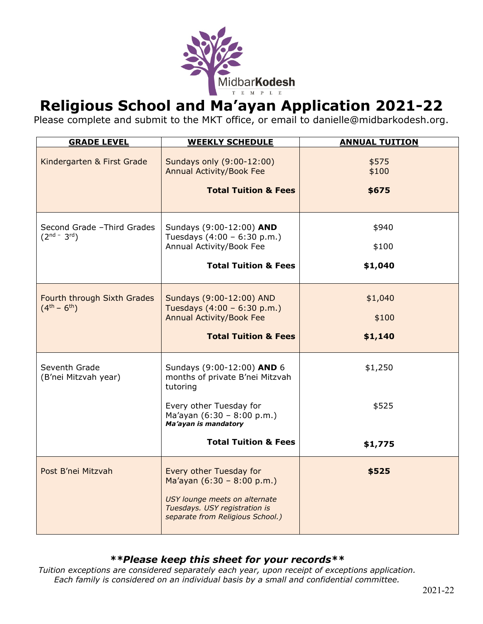

# **Religious School and Ma'ayan Application 2021-22**

Please complete and submit to the MKT office, or email to danielle@midbarkodesh.org.

| <b>GRADE LEVEL</b>                                 | <b>WEEKLY SCHEDULE</b>                                                                             | <b>ANNUAL TUITION</b> |
|----------------------------------------------------|----------------------------------------------------------------------------------------------------|-----------------------|
| Kindergarten & First Grade                         | Sundays only (9:00-12:00)<br><b>Annual Activity/Book Fee</b>                                       | \$575<br>\$100        |
|                                                    | <b>Total Tuition &amp; Fees</b>                                                                    | \$675                 |
| Second Grade - Third Grades<br>$(2^{nd} - 3^{rd})$ | Sundays (9:00-12:00) AND<br>Tuesdays (4:00 - 6:30 p.m.)                                            | \$940                 |
|                                                    | Annual Activity/Book Fee                                                                           | \$100                 |
|                                                    | <b>Total Tuition &amp; Fees</b>                                                                    | \$1,040               |
| Fourth through Sixth Grades<br>$(4^{th} - 6^{th})$ | Sundays (9:00-12:00) AND<br>Tuesdays (4:00 - 6:30 p.m.)                                            | \$1,040               |
|                                                    | <b>Annual Activity/Book Fee</b>                                                                    | \$100                 |
|                                                    | <b>Total Tuition &amp; Fees</b>                                                                    | \$1,140               |
| Seventh Grade<br>(B'nei Mitzvah year)              | Sundays (9:00-12:00) AND 6<br>months of private B'nei Mitzvah<br>tutoring                          | \$1,250               |
|                                                    | Every other Tuesday for<br>Ma'ayan $(6:30 - 8:00 p.m.)$<br>Ma'ayan is mandatory                    | \$525                 |
|                                                    | <b>Total Tuition &amp; Fees</b>                                                                    | \$1,775               |
| Post B'nei Mitzvah                                 | Every other Tuesday for<br>Ma'ayan $(6:30 - 8:00 p.m.)$                                            | \$525                 |
|                                                    | USY lounge meets on alternate<br>Tuesdays. USY registration is<br>separate from Religious School.) |                       |

### *\*\*Please keep this sheet for your records\*\**

*Tuition exceptions are considered separately each year, upon receipt of exceptions application. Each family is considered on an individual basis by a small and confidential committee.*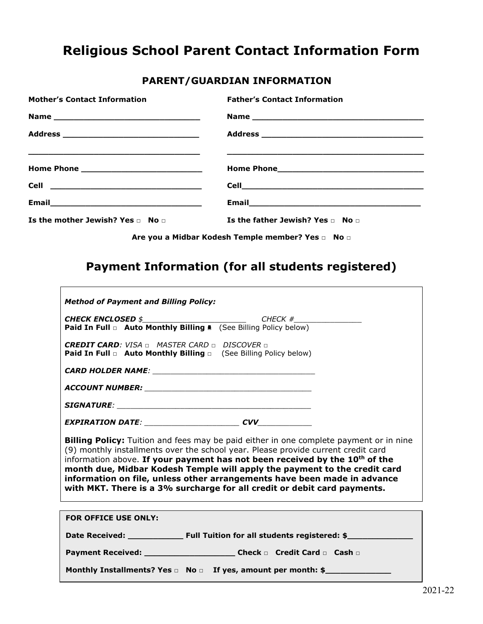## **Religious School Parent Contact Information Form**

### **PARENT/GUARDIAN INFORMATION**

| <b>Mother's Contact Information</b>        | <b>Father's Contact Information</b>                                                                                   |
|--------------------------------------------|-----------------------------------------------------------------------------------------------------------------------|
|                                            | Name                                                                                                                  |
|                                            |                                                                                                                       |
|                                            | <u> 1980 - John Stone, september 1980 - John Stone, september 1980 - John Stone, september 1980 - John Stone, sep</u> |
|                                            |                                                                                                                       |
|                                            |                                                                                                                       |
| Is the mother Jewish? Yes $\Box$ No $\Box$ | Is the father Jewish? Yes $\Box$ No $\Box$                                                                            |

**Are you a Midbar Kodesh Temple member? Yes □ No □**

### **Payment Information (for all students registered)**

 $\Gamma$ 

| <b>Method of Payment and Billing Policy:</b>                                                                                                                                                                                                                                                                                                                                                                                                                                                                       |  |  |  |
|--------------------------------------------------------------------------------------------------------------------------------------------------------------------------------------------------------------------------------------------------------------------------------------------------------------------------------------------------------------------------------------------------------------------------------------------------------------------------------------------------------------------|--|--|--|
|                                                                                                                                                                                                                                                                                                                                                                                                                                                                                                                    |  |  |  |
| Paid In Full a Auto Monthly Billing A (See Billing Policy below)                                                                                                                                                                                                                                                                                                                                                                                                                                                   |  |  |  |
| <b>CREDIT CARD:</b> VISA $\sqcap$ MASTER CARD $\sqcap$ DISCOVER $\sqcap$<br><b>Paid In Full <math>\Box</math> Auto Monthly Billing <math>\Box</math></b> (See Billing Policy below)                                                                                                                                                                                                                                                                                                                                |  |  |  |
|                                                                                                                                                                                                                                                                                                                                                                                                                                                                                                                    |  |  |  |
|                                                                                                                                                                                                                                                                                                                                                                                                                                                                                                                    |  |  |  |
|                                                                                                                                                                                                                                                                                                                                                                                                                                                                                                                    |  |  |  |
| <b>Billing Policy:</b> Tuition and fees may be paid either in one complete payment or in nine<br>(9) monthly installments over the school year. Please provide current credit card<br>information above. If your payment has not been received by the 10 <sup>th</sup> of the<br>month due, Midbar Kodesh Temple will apply the payment to the credit card<br>information on file, unless other arrangements have been made in advance<br>with MKT. There is a 3% surcharge for all credit or debit card payments. |  |  |  |
|                                                                                                                                                                                                                                                                                                                                                                                                                                                                                                                    |  |  |  |
| <b>FOR OFFICE USE ONLY:</b>                                                                                                                                                                                                                                                                                                                                                                                                                                                                                        |  |  |  |
|                                                                                                                                                                                                                                                                                                                                                                                                                                                                                                                    |  |  |  |
|                                                                                                                                                                                                                                                                                                                                                                                                                                                                                                                    |  |  |  |
| Payment Received: ___________________________Check n Credit Card n Cash n                                                                                                                                                                                                                                                                                                                                                                                                                                          |  |  |  |

┑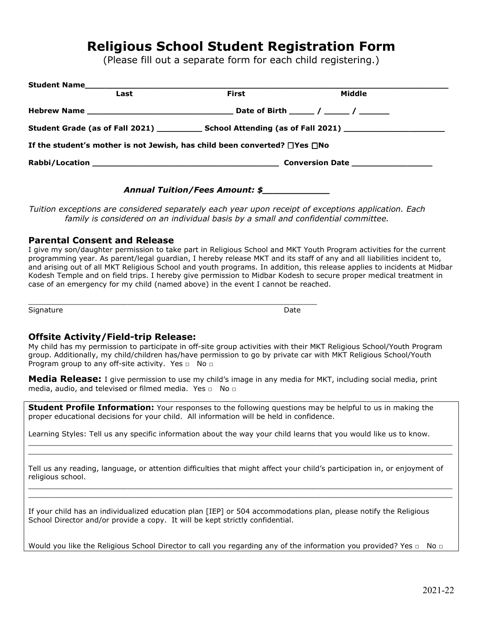### **Religious School Student Registration Form**

(Please fill out a separate form for each child registering.)

| Student Name                                                                                                   |       |        |  |  |  |
|----------------------------------------------------------------------------------------------------------------|-------|--------|--|--|--|
| Last                                                                                                           | First | Middle |  |  |  |
|                                                                                                                |       |        |  |  |  |
| Student Grade (as of Fall 2021) _____________ School Attending (as of Fall 2021) _____________________________ |       |        |  |  |  |
| If the student's mother is not Jewish, has child been converted? $\square$ Yes $\square$ No                    |       |        |  |  |  |
|                                                                                                                |       |        |  |  |  |
|                                                                                                                |       |        |  |  |  |

#### *Annual Tuition/Fees Amount: \$\_\_\_\_\_\_\_\_\_\_\_\_*

*Tuition exceptions are considered separately each year upon receipt of exceptions application. Each family is considered on an individual basis by a small and confidential committee.*

### **Parental Consent and Release**

I give my son/daughter permission to take part in Religious School and MKT Youth Program activities for the current programming year. As parent/legal guardian, I hereby release MKT and its staff of any and all liabilities incident to, and arising out of all MKT Religious School and youth programs. In addition, this release applies to incidents at Midbar Kodesh Temple and on field trips. I hereby give permission to Midbar Kodesh to secure proper medical treatment in case of an emergency for my child (named above) in the event I cannot be reached.

\_\_\_\_\_\_\_\_\_\_\_\_\_\_\_\_\_\_\_\_\_\_\_\_\_\_\_\_\_\_\_\_\_\_\_\_\_\_\_\_\_\_\_\_\_\_\_\_\_\_\_\_\_\_\_\_\_\_\_\_\_\_\_\_ Signature Date Date of the Date of the Date of the Date of the Date of the Date of the Date of the Date of the

#### **Offsite Activity/Field-trip Release:**

My child has my permission to participate in off-site group activities with their MKT Religious School/Youth Program group. Additionally, my child/children has/have permission to go by private car with MKT Religious School/Youth Program group to any off-site activity. Yes □ No □

**Media Release:** I give permission to use my child's image in any media for MKT, including social media, print media, audio, and televised or filmed media. Yes □ No □

**Student Profile Information:** Your responses to the following questions may be helpful to us in making the proper educational decisions for your child. All information will be held in confidence.

Learning Styles: Tell us any specific information about the way your child learns that you would like us to know.

Tell us any reading, language, or attention difficulties that might affect your child's participation in, or enjoyment of religious school.

 $\_$  ,  $\_$  ,  $\_$  ,  $\_$  ,  $\_$  ,  $\_$  ,  $\_$  ,  $\_$  ,  $\_$  ,  $\_$  ,  $\_$  ,  $\_$  ,  $\_$  ,  $\_$  ,  $\_$  ,  $\_$  ,  $\_$  ,  $\_$  ,  $\_$  ,  $\_$  ,  $\_$  ,  $\_$  ,  $\_$  ,  $\_$  ,  $\_$  ,  $\_$  ,  $\_$  ,  $\_$  ,  $\_$  ,  $\_$  ,  $\_$  ,  $\_$  ,  $\_$  ,  $\_$  ,  $\_$  ,  $\_$  ,  $\_$  ,  $\_$  ,  $\_$  ,  $\_$  ,  $\_$  ,  $\_$  ,  $\_$  ,  $\_$  ,  $\_$  ,  $\_$  ,  $\_$  ,  $\_$  ,  $\_$  ,  $\_$  ,  $\_$  ,  $\_$  ,  $\_$  ,  $\_$  ,  $\_$  ,  $\_$  ,  $\_$  ,  $\_$  ,  $\_$  ,  $\_$  ,  $\_$  ,  $\_$  ,  $\_$  ,  $\_$  ,  $\_$  ,  $\_$  ,  $\_$  ,  $\_$  ,  $\_$  ,  $\_$  ,  $\_$  ,  $\_$  ,  $\_$  ,  $\_$  ,

 $\_$  ,  $\_$  ,  $\_$  ,  $\_$  ,  $\_$  ,  $\_$  ,  $\_$  ,  $\_$  ,  $\_$  ,  $\_$  ,  $\_$  ,  $\_$  ,  $\_$  ,  $\_$  ,  $\_$  ,  $\_$  ,  $\_$  ,  $\_$  ,  $\_$  ,  $\_$  ,  $\_$  ,  $\_$  ,  $\_$  ,  $\_$  ,  $\_$  ,  $\_$  ,  $\_$  ,  $\_$  ,  $\_$  ,  $\_$  ,  $\_$  ,  $\_$  ,  $\_$  ,  $\_$  ,  $\_$  ,  $\_$  ,  $\_$  ,  $\_$  ,  $\_$  ,  $\_$  ,  $\_$  ,  $\_$  ,  $\_$  ,  $\_$  ,  $\_$  ,  $\_$  ,  $\_$  ,  $\_$  ,  $\_$  ,  $\_$  ,  $\_$  ,  $\_$  ,  $\_$  ,  $\_$  ,  $\_$  ,  $\_$  ,  $\_$  ,  $\_$  ,  $\_$  ,  $\_$  ,  $\_$  ,  $\_$  ,  $\_$  ,  $\_$  ,  $\_$  ,  $\_$  ,  $\_$  ,  $\_$  ,  $\_$  ,  $\_$  ,  $\_$  ,  $\_$  ,  $\_$  ,  $\_$  ,

If your child has an individualized education plan [IEP] or 504 accommodations plan, please notify the Religious School Director and/or provide a copy. It will be kept strictly confidential.

Would you like the Religious School Director to call you regarding any of the information you provided? Yes □ No □